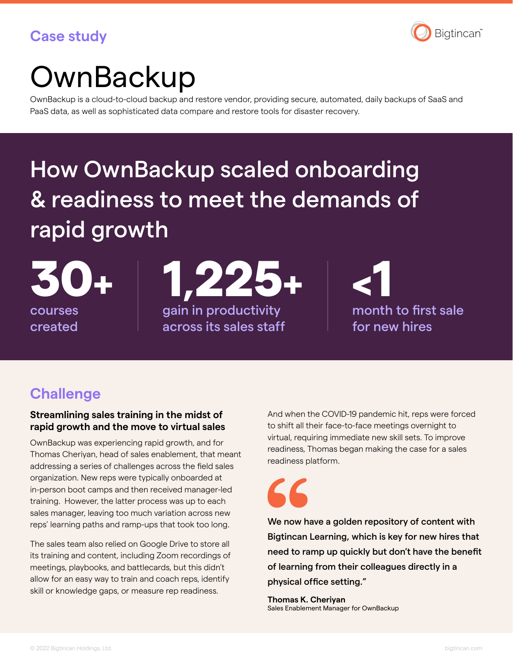### **Case study**



# **OwnBackup**

OwnBackup is a cloud-to-cloud backup and restore vendor, providing secure, automated, daily backups of SaaS and PaaS data, as well as sophisticated data compare and restore tools for disaster recovery.

## How OwnBackup scaled onboarding & readiness to meet the demands of rapid growth

courses created gain in productivity across its sales staff 1,222

month to first sale for new hires

## **Challenge**

#### **Streamlining sales training in the midst of rapid growth and the move to virtual sales**

OwnBackup was experiencing rapid growth, and for Thomas Cheriyan, head of sales enablement, that meant addressing a series of challenges across the field sales organization. New reps were typically onboarded at in-person boot camps and then received manager-led training. However, the latter process was up to each sales manager, leaving too much variation across new reps' learning paths and ramp-ups that took too long.

The sales team also relied on Google Drive to store all its training and content, including Zoom recordings of meetings, playbooks, and battlecards, but this didn't allow for an easy way to train and coach reps, identify skill or knowledge gaps, or measure rep readiness.

And when the COVID-19 pandemic hit, reps were forced to shift all their face-to-face meetings overnight to virtual, requiring immediate new skill sets. To improve readiness, Thomas began making the case for a sales readiness platform.



We now have a golden repository of content with Bigtincan Learning, which is key for new hires that need to ramp up quickly but don't have the benefit of learning from their colleagues directly in a physical office setting."

**Thomas K. Cheriyan** Sales Enablement Manager for OwnBackup